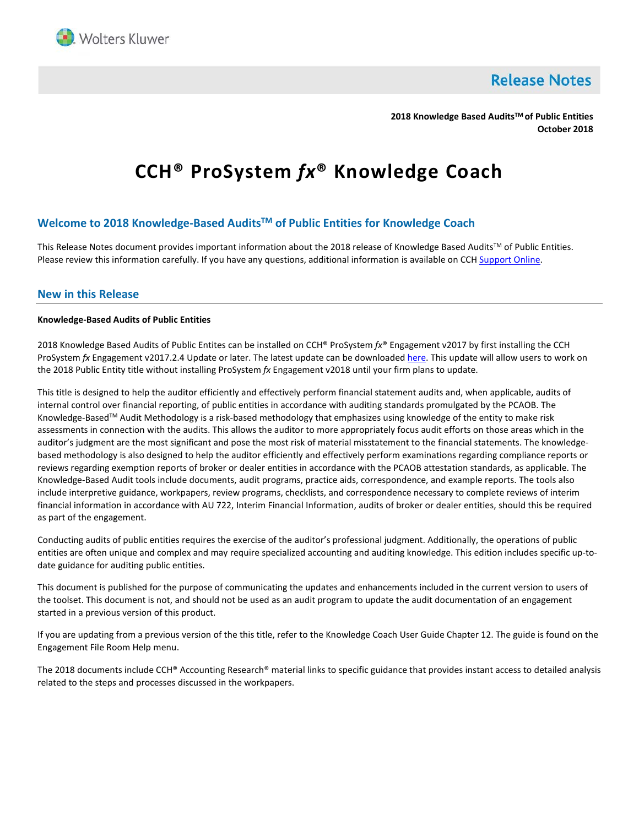

**Release Notes** 

**2018 Knowledge Based AuditsTM of Public Entities October 2018**

# **CCH® ProSystem** *fx***® Knowledge Coach**

# **Welcome to 2018 Knowledge-Based AuditsTM of Public Entities for Knowledge Coach**

This Release Notes document provides important information about the 2018 release of Knowledge Based Audits™ of Public Entities. Please review this information carefully. If you have any questions, additional information is available on CC[H Support Online.](http://support.cch.com/productsupport/)

## **New in this Release**

#### **Knowledge-Based Audits of Public Entities**

2018 Knowledge Based Audits of Public Entites can be installed on CCH® ProSystem *fx*® Engagement v2017 by first installing the CCH ProSystem *fx* Engagement v2017.2.4 Update or later. The latest update can be downloade[d here.](https://support.cch.com/updates/Engagement/release2017/release2017.aspx) This update will allow users to work on the 2018 Public Entity title without installing ProSystem *fx* Engagement v2018 until your firm plans to update.

This title is designed to help the auditor efficiently and effectively perform financial statement audits and, when applicable, audits of internal control over financial reporting, of public entities in accordance with auditing standards promulgated by the PCAOB. The Knowledge-Based™ Audit Methodology is a risk-based methodology that emphasizes using knowledge of the entity to make risk assessments in connection with the audits. This allows the auditor to more appropriately focus audit efforts on those areas which in the auditor's judgment are the most significant and pose the most risk of material misstatement to the financial statements. The knowledgebased methodology is also designed to help the auditor efficiently and effectively perform examinations regarding compliance reports or reviews regarding exemption reports of broker or dealer entities in accordance with the PCAOB attestation standards, as applicable. The Knowledge-Based Audit tools include documents, audit programs, practice aids, correspondence, and example reports. The tools also include interpretive guidance, workpapers, review programs, checklists, and correspondence necessary to complete reviews of interim financial information in accordance with AU 722, Interim Financial Information, audits of broker or dealer entities, should this be required as part of the engagement.

Conducting audits of public entities requires the exercise of the auditor's professional judgment. Additionally, the operations of public entities are often unique and complex and may require specialized accounting and auditing knowledge. This edition includes specific up-todate guidance for auditing public entities.

This document is published for the purpose of communicating the updates and enhancements included in the current version to users of the toolset. This document is not, and should not be used as an audit program to update the audit documentation of an engagement started in a previous version of this product.

If you are updating from a previous version of the this title, refer to the Knowledge Coach User Guide Chapter 12. The guide is found on the Engagement File Room Help menu.

The 2018 documents include CCH® Accounting Research® material links to specific guidance that provides instant access to detailed analysis related to the steps and processes discussed in the workpapers.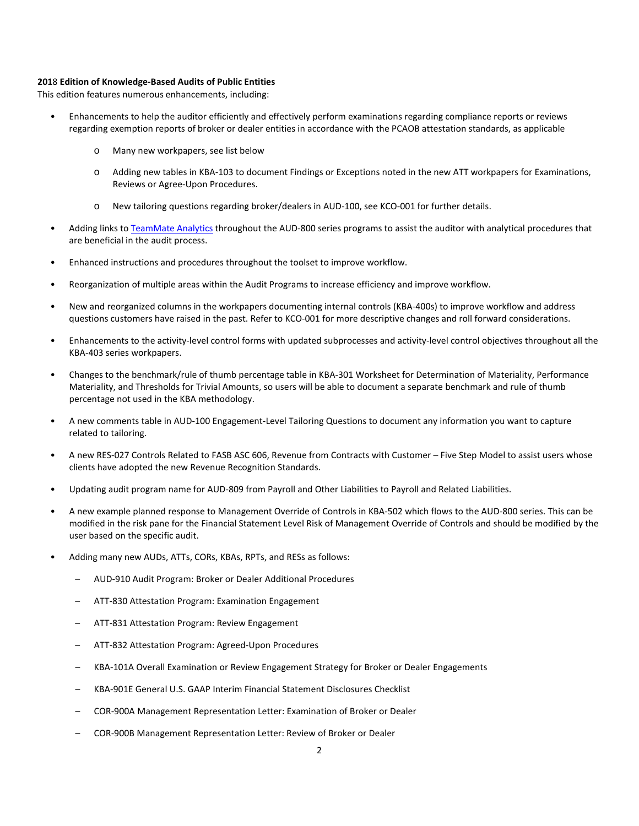#### **201**8 **Edition of Knowledge-Based Audits of Public Entities**

This edition features numerous enhancements, including:

- Enhancements to help the auditor efficiently and effectively perform examinations regarding compliance reports or reviews regarding exemption reports of broker or dealer entities in accordance with the PCAOB attestation standards, as applicable
	- o Many new workpapers, see list below
	- o Adding new tables in KBA-103 to document Findings or Exceptions noted in the new ATT workpapers for Examinations, Reviews or Agree-Upon Procedures.
	- o New tailoring questions regarding broker/dealers in AUD-100, see KCO-001 for further details.
- Adding links t[o TeamMate Analytics](http://engagetax.wolterskluwer.com/l/339101/2018-03-29/2w349) throughout the AUD-800 series programs to assist the auditor with analytical procedures that are beneficial in the audit process.
- Enhanced instructions and procedures throughout the toolset to improve workflow.
- Reorganization of multiple areas within the Audit Programs to increase efficiency and improve workflow.
- New and reorganized columns in the workpapers documenting internal controls (KBA-400s) to improve workflow and address questions customers have raised in the past. Refer to KCO-001 for more descriptive changes and roll forward considerations.
- Enhancements to the activity-level control forms with updated subprocesses and activity-level control objectives throughout all the KBA-403 series workpapers.
- Changes to the benchmark/rule of thumb percentage table in KBA-301 Worksheet for Determination of Materiality, Performance Materiality, and Thresholds for Trivial Amounts, so users will be able to document a separate benchmark and rule of thumb percentage not used in the KBA methodology.
- A new comments table in AUD-100 Engagement-Level Tailoring Questions to document any information you want to capture related to tailoring.
- A new RES-027 Controls Related to FASB ASC 606, Revenue from Contracts with Customer Five Step Model to assist users whose clients have adopted the new Revenue Recognition Standards.
- Updating audit program name for AUD-809 from Payroll and Other Liabilities to Payroll and Related Liabilities.
- A new example planned response to Management Override of Controls in KBA-502 which flows to the AUD-800 series. This can be modified in the risk pane for the Financial Statement Level Risk of Management Override of Controls and should be modified by the user based on the specific audit.
- Adding many new AUDs, ATTs, CORs, KBAs, RPTs, and RESs as follows:
	- AUD-910 Audit Program: Broker or Dealer Additional Procedures
	- ATT-830 Attestation Program: Examination Engagement
	- ATT-831 Attestation Program: Review Engagement
	- ATT-832 Attestation Program: Agreed-Upon Procedures
	- KBA-101A Overall Examination or Review Engagement Strategy for Broker or Dealer Engagements
	- KBA-901E General U.S. GAAP Interim Financial Statement Disclosures Checklist
	- COR-900A Management Representation Letter: Examination of Broker or Dealer
	- COR-900B Management Representation Letter: Review of Broker or Dealer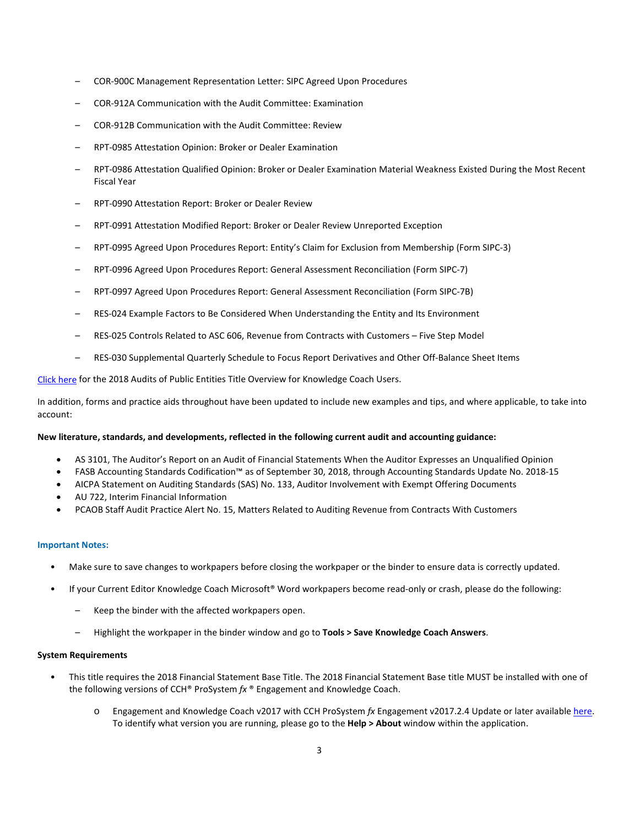- COR-900C Management Representation Letter: SIPC Agreed Upon Procedures
- COR-912A Communication with the Audit Committee: Examination
- COR-912B Communication with the Audit Committee: Review
- RPT-0985 Attestation Opinion: Broker or Dealer Examination
- RPT-0986 Attestation Qualified Opinion: Broker or Dealer Examination Material Weakness Existed During the Most Recent Fiscal Year
- RPT-0990 Attestation Report: Broker or Dealer Review
- RPT-0991 Attestation Modified Report: Broker or Dealer Review Unreported Exception
- RPT-0995 Agreed Upon Procedures Report: Entity's Claim for Exclusion from Membership (Form SIPC-3)
- RPT-0996 Agreed Upon Procedures Report: General Assessment Reconciliation (Form SIPC-7)
- RPT-0997 Agreed Upon Procedures Report: General Assessment Reconciliation (Form SIPC-7B)
- RES-024 Example Factors to Be Considered When Understanding the Entity and Its Environment
- RES-025 Controls Related to ASC 606, Revenue from Contracts with Customers Five Step Model
- RES-030 Supplemental Quarterly Schedule to Focus Report Derivatives and Other Off-Balance Sheet Items

[Click here](http://support.cch.com/updates/KnowledgeCoach/pdf/guides_tab/2018%20Public%20Entities%20Title%20Overview%20for%20Knowledge%20Coach%20Users.pdf) for the 2018 Audits of Public Entities Title Overview for Knowledge Coach Users.

In addition, forms and practice aids throughout have been updated to include new examples and tips, and where applicable, to take into account:

#### **New literature, standards, and developments, reflected in the following current audit and accounting guidance:**

- AS 3101, The Auditor's Report on an Audit of Financial Statements When the Auditor Expresses an Unqualified Opinion
- FASB Accounting Standards Codification™ as of September 30, 2018, through Accounting Standards Update No. 2018-15
- AICPA Statement on Auditing Standards (SAS) No. 133, Auditor Involvement with Exempt Offering Documents
- AU 722, Interim Financial Information
- PCAOB Staff Audit Practice Alert No. 15, Matters Related to Auditing Revenue from Contracts With Customers

#### **Important Notes:**

- Make sure to save changes to workpapers before closing the workpaper or the binder to ensure data is correctly updated.
- If your Current Editor Knowledge Coach Microsoft® Word workpapers become read-only or crash, please do the following:
	- Keep the binder with the affected workpapers open.
	- Highlight the workpaper in the binder window and go to **Tools > Save Knowledge Coach Answers**.

## **System Requirements**

- This title requires the 2018 Financial Statement Base Title. The 2018 Financial Statement Base title MUST be installed with one of the following versions of CCH® ProSystem *fx* ® Engagement and Knowledge Coach.
	- o Engagement and Knowledge Coach v2017 with CCH ProSystem *fx* Engagement v2017.2.4 Update or later availabl[e here.](https://support.cch.com/updates/Engagement/release2017/release2017.aspx)  To identify what version you are running, please go to the **Help > About** window within the application.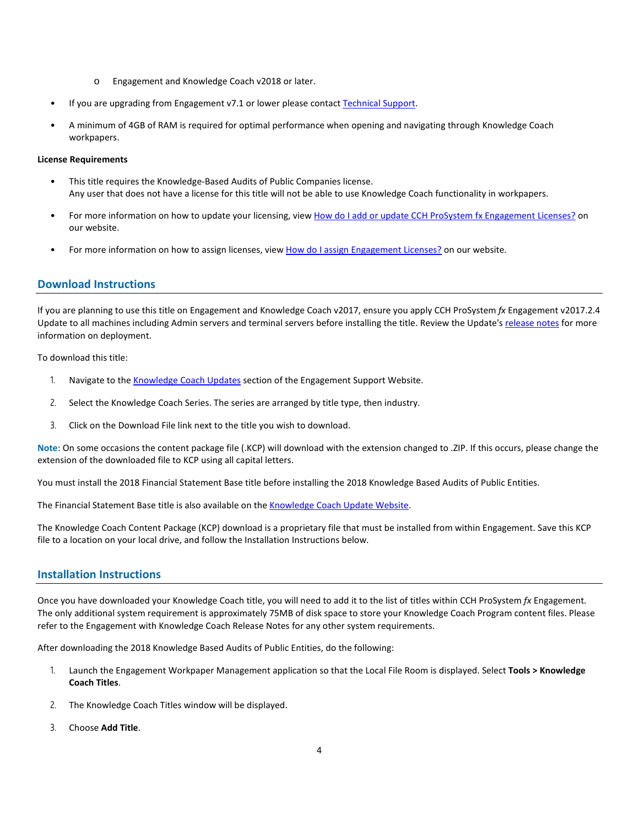- o Engagement and Knowledge Coach v2018 or later.
- If you are upgrading from Engagement v7.1 or lower please contac[t Technical Support.](https://support.cch.com/contact)
- A minimum of 4GB of RAM is required for optimal performance when opening and navigating through Knowledge Coach workpapers.

## **License Requirements**

- This title requires the Knowledge-Based Audits of Public Companies license. Any user that does not have a license for this title will not be able to use Knowledge Coach functionality in workpapers.
- For more information on how to update your licensing, view [How do I add or update CCH ProSystem fx Engagement Licenses?](https://support.cch.com/kb/solution.aspx/sw3937) on our website.
- For more information on how to assign licenses, view [How do I assign Engagement Licenses?](https://support.cch.com/kb/solution.aspx/sw3943) on our website.

# **Download Instructions**

If you are planning to use this title on Engagement and Knowledge Coach v2017, ensure you apply CCH ProSystem *fx* Engagement v2017.2.4 Update to all machines including Admin servers and terminal servers before installing the title. Review the Update'[s release notes](https://support.cch.com/updates/Engagement/patch75/ENG%202017.2.4%20Release%20Notes.pdf) for more information on deployment.

To download this title:

- 1. Navigate to the [Knowledge Coach Updates](http://support.cch.com/updates/KnowledgeCoach) section of the Engagement Support Website.
- 2. Select the Knowledge Coach Series. The series are arranged by title type, then industry.
- 3. Click on the Download File link next to the title you wish to download.

**Note**: On some occasions the content package file (.KCP) will download with the extension changed to .ZIP. If this occurs, please change the extension of the downloaded file to KCP using all capital letters.

You must install the 2018 Financial Statement Base title before installing the 2018 Knowledge Based Audits of Public Entities.

The Financial Statement Base title is also available on th[e Knowledge Coach Update Website.](http://support.cch.com/updates/KnowledgeCoach)

The Knowledge Coach Content Package (KCP) download is a proprietary file that must be installed from within Engagement. Save this KCP file to a location on your local drive, and follow the Installation Instructions below.

## **Installation Instructions**

Once you have downloaded your Knowledge Coach title, you will need to add it to the list of titles within CCH ProSystem *fx* Engagement. The only additional system requirement is approximately 75MB of disk space to store your Knowledge Coach Program content files. Please refer to the Engagement with Knowledge Coach Release Notes for any other system requirements.

After downloading the 2018 Knowledge Based Audits of Public Entities, do the following:

- 1. Launch the Engagement Workpaper Management application so that the Local File Room is displayed. Select **Tools > Knowledge Coach Titles**.
- 2. The Knowledge Coach Titles window will be displayed.
- 3. Choose **Add Title**.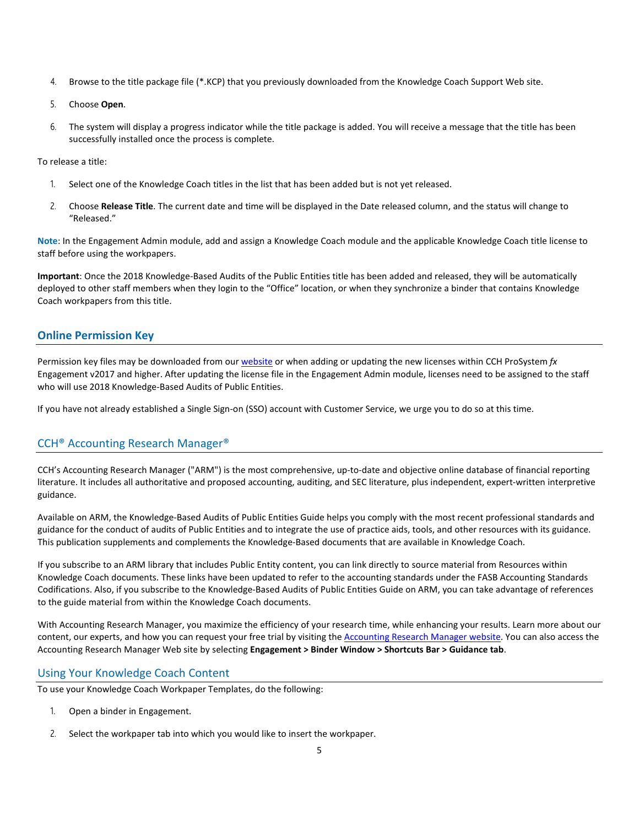- 4. Browse to the title package file (\*.KCP) that you previously downloaded from the Knowledge Coach Support Web site.
- 5. Choose **Open**.
- 6. The system will display a progress indicator while the title package is added. You will receive a message that the title has been successfully installed once the process is complete.

To release a title:

- 1. Select one of the Knowledge Coach titles in the list that has been added but is not yet released.
- 2. Choose **Release Title**. The current date and time will be displayed in the Date released column, and the status will change to "Released."

**Note**: In the Engagement Admin module, add and assign a Knowledge Coach module and the applicable Knowledge Coach title license to staff before using the workpapers.

**Important**: Once the 2018 Knowledge-Based Audits of the Public Entities title has been added and released, they will be automatically deployed to other staff members when they login to the "Office" location, or when they synchronize a binder that contains Knowledge Coach workpapers from this title.

# **Online Permission Key**

Permission key files may be downloaded from ou[r website](https://prosystemfxsupport.tax.cchgroup.com/permkey/download.aspx) or when adding or updating the new licenses within CCH ProSystem *fx* Engagement v2017 and higher. After updating the license file in the Engagement Admin module, licenses need to be assigned to the staff who will use 2018 Knowledge-Based Audits of Public Entities.

If you have not already established a Single Sign-on (SSO) account with Customer Service, we urge you to do so at this time.

# CCH® Accounting Research Manager®

CCH's Accounting Research Manager ("ARM") is the most comprehensive, up-to-date and objective online database of financial reporting literature. It includes all authoritative and proposed accounting, auditing, and SEC literature, plus independent, expert-written interpretive guidance.

Available on ARM, the Knowledge-Based Audits of Public Entities Guide helps you comply with the most recent professional standards and guidance for the conduct of audits of Public Entities and to integrate the use of practice aids, tools, and other resources with its guidance. This publication supplements and complements the Knowledge-Based documents that are available in Knowledge Coach.

If you subscribe to an ARM library that includes Public Entity content, you can link directly to source material from Resources within Knowledge Coach documents. These links have been updated to refer to the accounting standards under the FASB Accounting Standards Codifications. Also, if you subscribe to the Knowledge-Based Audits of Public Entities Guide on ARM, you can take advantage of references to the guide material from within the Knowledge Coach documents.

With Accounting Research Manager, you maximize the efficiency of your research time, while enhancing your results. Learn more about our content, our experts, and how you can request your free trial by visiting the **Accounting Research Manager website**. You can also access the Accounting Research Manager Web site by selecting **Engagement > Binder Window > Shortcuts Bar > Guidance tab**.

# Using Your Knowledge Coach Content

To use your Knowledge Coach Workpaper Templates, do the following:

- 1. Open a binder in Engagement.
- 2. Select the workpaper tab into which you would like to insert the workpaper.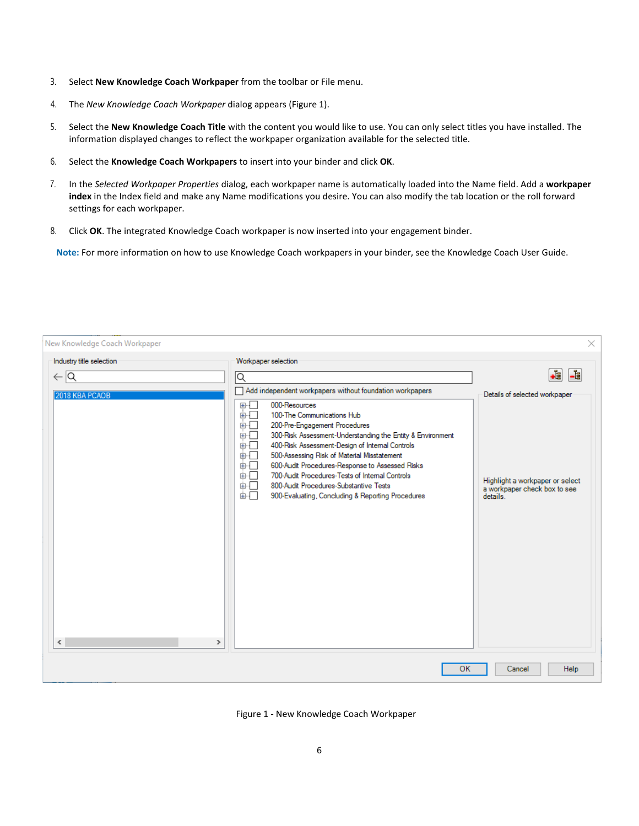- 3. Select **New Knowledge Coach Workpaper** from the toolbar or File menu.
- 4. The *New Knowledge Coach Workpaper* dialog appears (Figure 1).
- 5. Select the **New Knowledge Coach Title** with the content you would like to use. You can only select titles you have installed. The information displayed changes to reflect the workpaper organization available for the selected title.
- 6. Select the **Knowledge Coach Workpapers** to insert into your binder and click **OK**.
- 7. In the *Selected Workpaper Properties* dialog, each workpaper name is automatically loaded into the Name field. Add a **workpaper index** in the Index field and make any Name modifications you desire. You can also modify the tab location or the roll forward settings for each workpaper.
- 8. Click **OK**. The integrated Knowledge Coach workpaper is now inserted into your engagement binder.

**Note:** For more information on how to use Knowledge Coach workpapers in your binder, see the Knowledge Coach User Guide.

| New Knowledge Coach Workpaper                                       |                                                                                                                                                                                                                                                                                                                                                                                                                                                                                                                                                                                                          | $\times$                                                                                                                 |
|---------------------------------------------------------------------|----------------------------------------------------------------------------------------------------------------------------------------------------------------------------------------------------------------------------------------------------------------------------------------------------------------------------------------------------------------------------------------------------------------------------------------------------------------------------------------------------------------------------------------------------------------------------------------------------------|--------------------------------------------------------------------------------------------------------------------------|
| Industry title selection<br>$\leftarrow$ $\alpha$<br>2018 KBA PCAOB | Workpaper selection<br>⊺Q<br>Add independent workpapers without foundation workpapers<br>000-Resources<br><b>田…</b><br>100-The Communications Hub<br>面示<br>画「<br>200-Pre-Engagement Procedures<br>面一<br>300-Risk Assessment-Understanding the Entity & Environment<br>400-Risk Assessment-Design of Internal Controls<br>க்ர<br>面板<br>500-Assessing Risk of Material Misstatement<br>600-Audit Procedures-Response to Assessed Risks<br>画「<br>700-Audit Procedures-Tests of Internal Controls<br>画口<br>800-Audit Procedures-Substantive Tests<br>画画<br>900-Evaluating, Concluding & Reporting Procedures | ٠ŧ<br>-1<br>Details of selected workpaper<br>Highlight a workpaper or select<br>a workpaper check box to see<br>details. |
| ∢<br>$\rightarrow$                                                  | <b>OK</b>                                                                                                                                                                                                                                                                                                                                                                                                                                                                                                                                                                                                | Help<br>Cancel                                                                                                           |

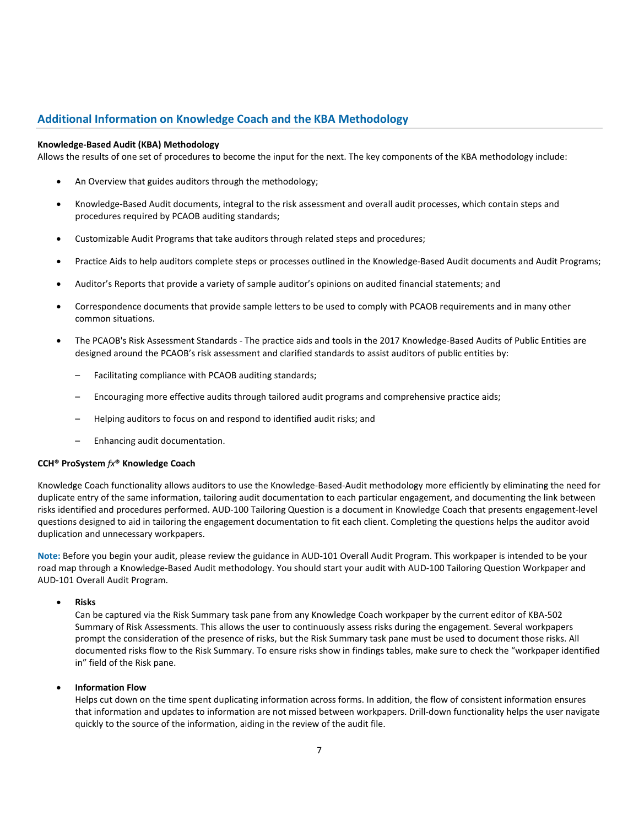# **Additional Information on Knowledge Coach and the KBA Methodology**

## **Knowledge-Based Audit (KBA) Methodology**

Allows the results of one set of procedures to become the input for the next. The key components of the KBA methodology include:

- An Overview that guides auditors through the methodology;
- Knowledge-Based Audit documents, integral to the risk assessment and overall audit processes, which contain steps and procedures required by PCAOB auditing standards;
- Customizable Audit Programs that take auditors through related steps and procedures;
- Practice Aids to help auditors complete steps or processes outlined in the Knowledge-Based Audit documents and Audit Programs;
- Auditor's Reports that provide a variety of sample auditor's opinions on audited financial statements; and
- Correspondence documents that provide sample letters to be used to comply with PCAOB requirements and in many other common situations.
- The PCAOB's Risk Assessment Standards The practice aids and tools in the 2017 Knowledge-Based Audits of Public Entities are designed around the PCAOB's risk assessment and clarified standards to assist auditors of public entities by:
	- Facilitating compliance with PCAOB auditing standards;
	- Encouraging more effective audits through tailored audit programs and comprehensive practice aids;
	- Helping auditors to focus on and respond to identified audit risks; and
	- Enhancing audit documentation.

#### **CCH® ProSystem** *fx***® Knowledge Coach**

Knowledge Coach functionality allows auditors to use the Knowledge-Based-Audit methodology more efficiently by eliminating the need for duplicate entry of the same information, tailoring audit documentation to each particular engagement, and documenting the link between risks identified and procedures performed. AUD-100 Tailoring Question is a document in Knowledge Coach that presents engagement-level questions designed to aid in tailoring the engagement documentation to fit each client. Completing the questions helps the auditor avoid duplication and unnecessary workpapers.

**Note:** Before you begin your audit, please review the guidance in AUD-101 Overall Audit Program. This workpaper is intended to be your road map through a Knowledge-Based Audit methodology. You should start your audit with AUD-100 Tailoring Question Workpaper and AUD-101 Overall Audit Program.

• **Risks**

Can be captured via the Risk Summary task pane from any Knowledge Coach workpaper by the current editor of KBA-502 Summary of Risk Assessments. This allows the user to continuously assess risks during the engagement. Several workpapers prompt the consideration of the presence of risks, but the Risk Summary task pane must be used to document those risks. All documented risks flow to the Risk Summary. To ensure risks show in findings tables, make sure to check the "workpaper identified in" field of the Risk pane.

• **Information Flow** 

Helps cut down on the time spent duplicating information across forms. In addition, the flow of consistent information ensures that information and updates to information are not missed between workpapers. Drill-down functionality helps the user navigate quickly to the source of the information, aiding in the review of the audit file.